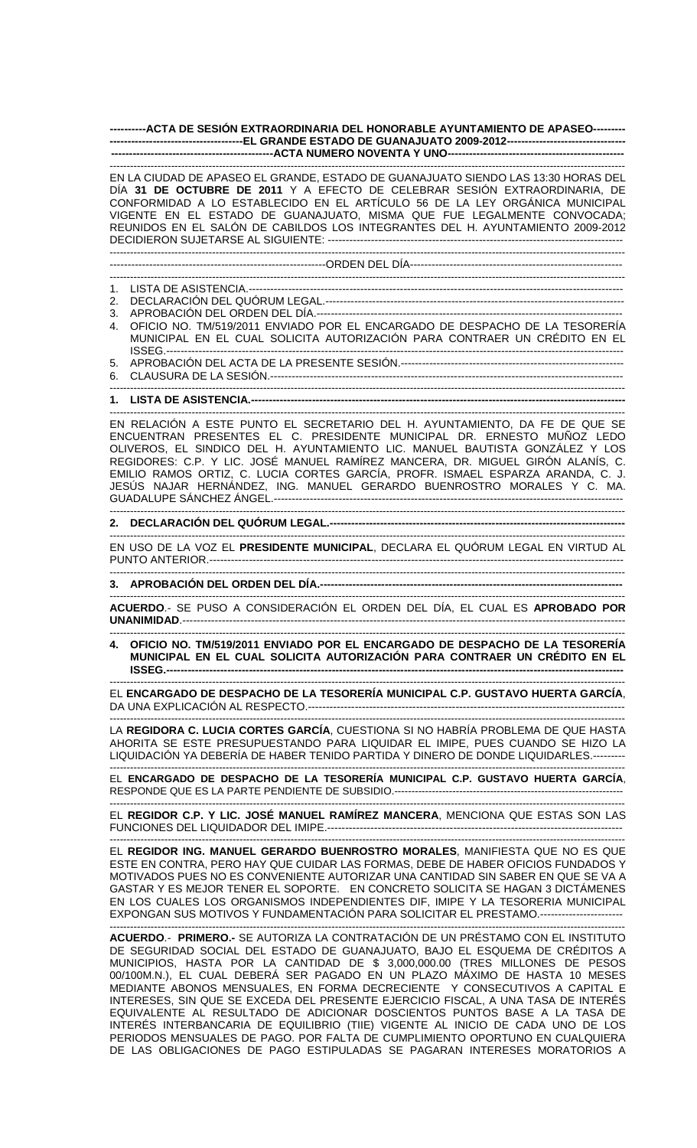## **----------ACTA DE SESIÓN EXTRAORDINARIA DEL HONORABLE AYUNTAMIENTO DE APASEO--------- -------------------------------------EL GRANDE ESTADO DE GUANAJUATO 2009-2012--------------------------------- ---------------------------------------------ACTA NUMERO NOVENTA Y UNO-------------------------------------------------**

------------------------------------------------------------------------------------------------------------------------------------------------------- EN LA CIUDAD DE APASEO EL GRANDE, ESTADO DE GUANAJUATO SIENDO LAS 13:30 HORAS DEL

DÍA **31 DE OCTUBRE DE 2011** Y A EFECTO DE CELEBRAR SESIÓN EXTRAORDINARIA, DE CONFORMIDAD A LO ESTABLECIDO EN EL ARTÍCULO 56 DE LA LEY ORGÁNICA MUNICIPAL VIGENTE EN EL ESTADO DE GUANAJUATO, MISMA QUE FUE LEGALMENTE CONVOCADA; REUNIDOS EN EL SALÓN DE CABILDOS LOS INTEGRANTES DEL H. AYUNTAMIENTO 2009-2012 DECIDIERON SUJETARSE AL SIGUIENTE: ---------------------------------------------------------------------------------- ------------------------------------------------------------------------------------------------------------------------------------------------------- ------------------------------------------------------------ORDEN DEL DÍA----------------------------------------------------------- ------------------------------------------------------------------------------------------------------------------------------------------------------- 1. LISTA DE ASISTENCIA.-------------------------------------------------------------------------------------------------------- 2. DECLARACIÓN DEL QUÓRUM LEGAL.----------------------------------------------------------------------------------- 3. APROBACIÓN DEL ORDEN DEL DÍA.------------------------------------------------------------------------------------- 4. OFICIO NO. TM/519/2011 ENVIADO POR EL ENCARGADO DE DESPACHO DE LA TESORERÍA MUNICIPAL EN EL CUAL SOLICITA AUTORIZACIÓN PARA CONTRAER UN CRÉDITO EN EL ISSEG.------------------------------------------------------------------------------------------------------------------------------- 5. APROBACIÓN DEL ACTA DE LA PRESENTE SESIÓN.-------------------------------------------------------------- 6. CLAUSURA DE LA SESIÓN.-------------------------------------------------------------------------------------------------- ------------------------------------------------------------------------------------------------------------------------------------------------------- **1. LISTA DE ASISTENCIA.--------------------------------------------------------------------------------------------------------**  ------------------------------------------------------------------------------------------------------------------------------------------------------- EN RELACIÓN A ESTE PUNTO EL SECRETARIO DEL H. AYUNTAMIENTO, DA FE DE QUE SE ENCUENTRAN PRESENTES EL C. PRESIDENTE MUNICIPAL DR. ERNESTO MUÑOZ LEDO OLIVEROS, EL SINDICO DEL H. AYUNTAMIENTO LIC. MANUEL BAUTISTA GONZÁLEZ Y LOS REGIDORES: C.P. Y LIC. JOSÉ MANUEL RAMÍREZ MANCERA, DR. MIGUEL GIRÓN ALANÍS, C. EMILIO RAMOS ORTIZ, C. LUCIA CORTES GARCÍA, PROFR. ISMAEL ESPARZA ARANDA, C. J. JESÚS NAJAR HERNÁNDEZ, ING. MANUEL GERARDO BUENROSTRO MORALES Y C. MA. GUADALUPE SÁNCHEZ ÁNGEL.------------------------------------------------------------------------------------------------- ------------------------------------------------------------------------------------------------------------------------------------------------------- **2. DECLARACIÓN DEL QUÓRUM LEGAL.----------------------------------------------------------------------------------**  ------------------------------------------------------------------------------------------------------------------------------------------------------- -------------------------------------------------------------------------------------------------------------------------------------------------------

EN USO DE LA VOZ EL **PRESIDENTE MUNICIPAL**, DECLARA EL QUÓRUM LEGAL EN VIRTUD AL PUNTO ANTERIOR.-------------------------------------------------------------------------------------------------------------------

**3. APROBACIÓN DEL ORDEN DEL DÍA.------------------------------------------------------------------------------------** 

------------------------------------------------------------------------------------------------------------------------------------------------------- **ACUERDO**.- SE PUSO A CONSIDERACIÓN EL ORDEN DEL DÍA, EL CUAL ES **APROBADO POR UNANIMIDAD**.---------------------------------------------------------------------------------------------------------------------------

------------------------------------------------------------------------------------------------------------------------------------------------------- **4. OFICIO NO. TM/519/2011 ENVIADO POR EL ENCARGADO DE DESPACHO DE LA TESORERÍA MUNICIPAL EN EL CUAL SOLICITA AUTORIZACIÓN PARA CONTRAER UN CRÉDITO EN EL ISSEG.-------------------------------------------------------------------------------------------------------------------------------** 

------------------------------------------------------------------------------------------------------------------------------------------------------- EL **ENCARGADO DE DESPACHO DE LA TESORERÍA MUNICIPAL C.P. GUSTAVO HUERTA GARCÍA**, DA UNA EXPLICACIÓN AL RESPECTO.----------------------------------------------------------------------------------------

------------------------------------------------------------------------------------------------------------------------------------------------------- LA **REGIDORA C. LUCIA CORTES GARCÍA**, CUESTIONA SI NO HABRÍA PROBLEMA DE QUE HASTA AHORITA SE ESTE PRESUPUESTANDO PARA LIQUIDAR EL IMIPE, PUES CUANDO SE HIZO LA LIQUIDACIÓN YA DEBERÍA DE HABER TENIDO PARTIDA Y DINERO DE DONDE LIQUIDARLES.---------

------------------------------------------------------------------------------------------------------------------------------------------------------- EL **ENCARGADO DE DESPACHO DE LA TESORERÍA MUNICIPAL C.P. GUSTAVO HUERTA GARCÍA**, RESPONDE QUE ES LA PARTE PENDIENTE DE SUBSIDIO.-------------------------------------------------------------------

------------------------------------------------------------------------------------------------------------------------------------------------------- EL **REGIDOR C.P. Y LIC. JOSÉ MANUEL RAMÍREZ MANCERA**, MENCIONA QUE ESTAS SON LAS FUNCIONES DEL LIQUIDADOR DEL IMIPE.----------------------------------------------------------------------------------

------------------------------------------------------------------------------------------------------------------------------------------------------- EL **REGIDOR ING. MANUEL GERARDO BUENROSTRO MORALES**, MANIFIESTA QUE NO ES QUE ESTE EN CONTRA, PERO HAY QUE CUIDAR LAS FORMAS, DEBE DE HABER OFICIOS FUNDADOS Y MOTIVADOS PUES NO ES CONVENIENTE AUTORIZAR UNA CANTIDAD SIN SABER EN QUE SE VA A GASTAR Y ES MEJOR TENER EL SOPORTE. EN CONCRETO SOLICITA SE HAGAN 3 DICTÁMENES EN LOS CUALES LOS ORGANISMOS INDEPENDIENTES DIF, IMIPE Y LA TESORERIA MUNICIPAL EXPONGAN SUS MOTIVOS Y FUNDAMENTACIÓN PARA SOLICITAR EL PRESTAMO.-----------------------

------------------------------------------------------------------------------------------------------------------------------------------------------- **ACUERDO**.- **PRIMERO.-** SE AUTORIZA LA CONTRATACIÓN DE UN PRÉSTAMO CON EL INSTITUTO DE SEGURIDAD SOCIAL DEL ESTADO DE GUANAJUATO, BAJO EL ESQUEMA DE CRÉDITOS A MUNICIPIOS, HASTA POR LA CANTIDAD DE \$ 3,000,000.00 (TRES MILLONES DE PESOS 00/100M.N.), EL CUAL DEBERÁ SER PAGADO EN UN PLAZO MÁXIMO DE HASTA 10 MESES MEDIANTE ABONOS MENSUALES, EN FORMA DECRECIENTE Y CONSECUTIVOS A CAPITAL E INTERESES, SIN QUE SE EXCEDA DEL PRESENTE EJERCICIO FISCAL, A UNA TASA DE INTERÉS EQUIVALENTE AL RESULTADO DE ADICIONAR DOSCIENTOS PUNTOS BASE A LA TASA DE INTERÉS INTERBANCARIA DE EQUILIBRIO (TIIE) VIGENTE AL INICIO DE CADA UNO DE LOS PERIODOS MENSUALES DE PAGO. POR FALTA DE CUMPLIMIENTO OPORTUNO EN CUALQUIERA DE LAS OBLIGACIONES DE PAGO ESTIPULADAS SE PAGARAN INTERESES MORATORIOS A